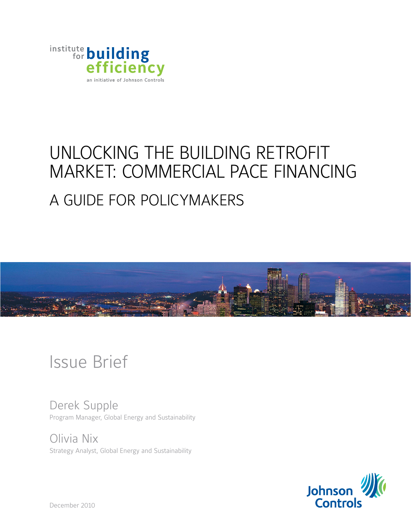

# Unlocking the Building Retrofit Market: Commercial PACE Financing A Guide for Policymakers



# Issue Brief

Derek Supple Program Manager, Global Energy and Sustainability

Olivia Nix Strategy Analyst, Global Energy and Sustainability



December 2010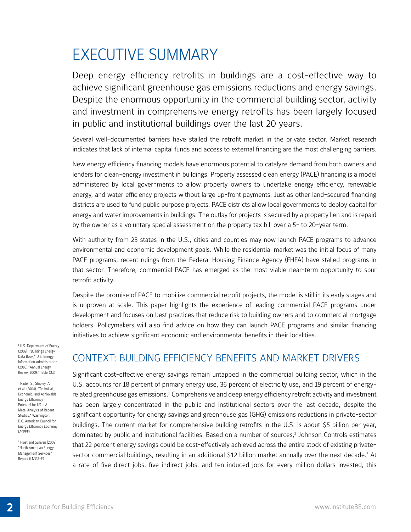## Executive Summary

Deep energy efficiency retrofits in buildings are a cost-effective way to achieve significant greenhouse gas emissions reductions and energy savings. Despite the enormous opportunity in the commercial building sector, activity and investment in comprehensive energy retrofits has been largely focused in public and institutional buildings over the last 20 years.

Several well-documented barriers have stalled the retrofit market in the private sector. Market research indicates that lack of internal capital funds and access to external financing are the most challenging barriers.

New energy efficiency financing models have enormous potential to catalyze demand from both owners and lenders for clean-energy investment in buildings. Property assessed clean energy (PACE) financing is a model administered by local governments to allow property owners to undertake energy efficiency, renewable energy, and water efficiency projects without large up-front payments. Just as other land-secured financing districts are used to fund public purpose projects, PACE districts allow local governments to deploy capital for energy and water improvements in buildings. The outlay for projects is secured by a property lien and is repaid by the owner as a voluntary special assessment on the property tax bill over a 5- to 20-year term.

With authority from 23 states in the U.S., cities and counties may now launch PACE programs to advance environmental and economic development goals. While the residential market was the initial focus of many PACE programs, recent rulings from the Federal Housing Finance Agency (FHFA) have stalled programs in that sector. Therefore, commercial PACE has emerged as the most viable near-term opportunity to spur retrofit activity.

Despite the promise of PACE to mobilize commercial retrofit projects, the model is still in its early stages and is unproven at scale. This paper highlights the experience of leading commercial PACE programs under development and focuses on best practices that reduce risk to building owners and to commercial mortgage holders. Policymakers will also find advice on how they can launch PACE programs and similar financing initiatives to achieve significant economic and environmental benefits in their localities.

<sup>1</sup> U.S. Department of Energy (2009). "Buildings Energy Data Book;" U.S. Energy Information Administration (2010) "Annual Energy Review 2009." Table 12.3

<sup>2</sup> Nadel, S., Shipley, A. et al. (2004). "Technical, Economic, and Achievable Energy Efficiency Potential for US – A Meta-Analysis of Recent Studies," Washington, D.C. American Council for Energy Efficiency Economy (ACEEE).

<sup>3</sup> Frost and Sullivan (2008). "North American Energy Management Services" Report # N337-F1.

**2**

## Context: Building Efficiency Benefits and Market Drivers

Significant cost-effective energy savings remain untapped in the commercial building sector, which in the U.S. accounts for 18 percent of primary energy use, 36 percent of electricity use, and 19 percent of energyrelated greenhouse gas emissions.<sup>1</sup> Comprehensive and deep energy efficiency retrofit activity and investment has been largely concentrated in the public and institutional sectors over the last decade, despite the significant opportunity for energy savings and greenhouse gas (GHG) emissions reductions in private-sector buildings. The current market for comprehensive building retrofits in the U.S. is about \$5 billion per year, dominated by public and institutional facilities. Based on a number of sources,<sup>2</sup> Johnson Controls estimates that 22 percent energy savings could be cost-effectively achieved across the entire stock of existing privatesector commercial buildings, resulting in an additional \$12 billion market annually over the next decade.<sup>3</sup> At a rate of five direct jobs, five indirect jobs, and ten induced jobs for every million dollars invested, this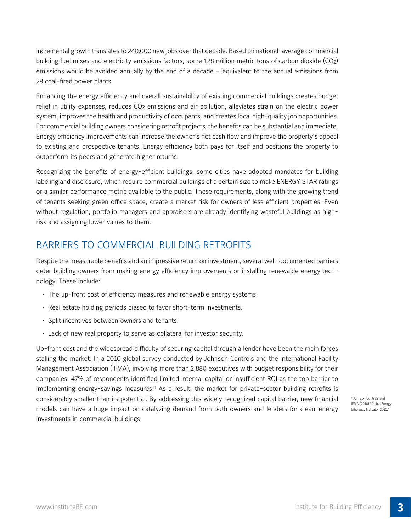incremental growth translates to 240,000 new jobs over that decade. Based on national-average commercial building fuel mixes and electricity emissions factors, some 128 million metric tons of carbon dioxide (CO2) emissions would be avoided annually by the end of a decade – equivalent to the annual emissions from 28 coal-fired power plants.

Enhancing the energy efficiency and overall sustainability of existing commercial buildings creates budget relief in utility expenses, reduces CO<sub>2</sub> emissions and air pollution, alleviates strain on the electric power system, improves the health and productivity of occupants, and creates local high-quality job opportunities. For commercial building owners considering retrofit projects, the benefits can be substantial and immediate. Energy efficiency improvements can increase the owner's net cash flow and improve the property's appeal to existing and prospective tenants. Energy efficiency both pays for itself and positions the property to outperform its peers and generate higher returns.

Recognizing the benefits of energy-efficient buildings, some cities have adopted mandates for building labeling and disclosure, which require commercial buildings of a certain size to make ENERGY STAR ratings or a similar performance metric available to the public. These requirements, along with the growing trend of tenants seeking green office space, create a market risk for owners of less efficient properties. Even without regulation, portfolio managers and appraisers are already identifying wasteful buildings as highrisk and assigning lower values to them.

## Barriers to Commercial Building Retrofits

Despite the measurable benefits and an impressive return on investment, several well-documented barriers deter building owners from making energy efficiency improvements or installing renewable energy technology. These include:

- The up-front cost of efficiency measures and renewable energy systems.
- Real estate holding periods biased to favor short-term investments.
- Split incentives between owners and tenants.
- Lack of new real property to serve as collateral for investor security.

Up-front cost and the widespread difficulty of securing capital through a lender have been the main forces stalling the market. In a 2010 global survey conducted by Johnson Controls and the International Facility Management Association (IFMA), involving more than 2,880 executives with budget responsibility for their companies, 47% of respondents identified limited internal capital or insufficient ROI as the top barrier to implementing energy-savings measures.4 As a result, the market for private-sector building retrofits is considerably smaller than its potential. By addressing this widely recognized capital barrier, new financial models can have a huge impact on catalyzing demand from both owners and lenders for clean-energy investments in commercial buildings.

4 Johnson Controls and IFMA (2010) "Global Energy Efficiency Indicator 2010."

**3**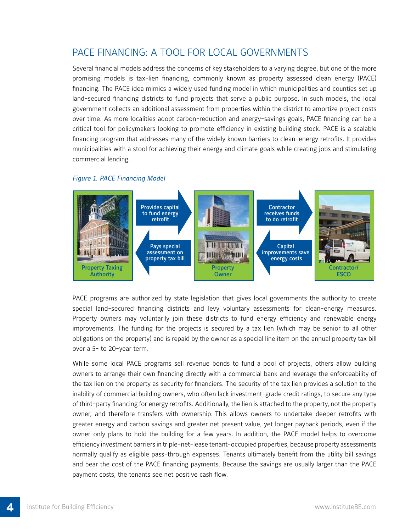## PACE Financing: A Tool for Local Governments

Several financial models address the concerns of key stakeholders to a varying degree, but one of the more promising models is tax-lien financing, commonly known as property assessed clean energy (PACE) financing. The PACE idea mimics a widely used funding model in which municipalities and counties set up land-secured financing districts to fund projects that serve a public purpose. In such models, the local government collects an additional assessment from properties within the district to amortize project costs over time. As more localities adopt carbon-reduction and energy-savings goals, PACE financing can be a critical tool for policymakers looking to promote efficiency in existing building stock. PACE is a scalable financing program that addresses many of the widely known barriers to clean-energy retrofits. It provides municipalities with a stool for achieving their energy and climate goals while creating jobs and stimulating commercial lending.



#### *Figure 1. PACE Financing Model*

PACE programs are authorized by state legislation that gives local governments the authority to create special land-secured financing districts and levy voluntary assessments for clean-energy measures. Property owners may voluntarily join these districts to fund energy efficiency and renewable energy improvements. The funding for the projects is secured by a tax lien (which may be senior to all other obligations on the property) and is repaid by the owner as a special line item on the annual property tax bill over a 5- to 20-year term.

While some local PACE programs sell revenue bonds to fund a pool of projects, others allow building owners to arrange their own financing directly with a commercial bank and leverage the enforceability of the tax lien on the property as security for financiers. The security of the tax lien provides a solution to the inability of commercial building owners, who often lack investment-grade credit ratings, to secure any type of third-party financing for energy retrofits. Additionally, the lien is attached to the property, not the property owner, and therefore transfers with ownership. This allows owners to undertake deeper retrofits with greater energy and carbon savings and greater net present value, yet longer payback periods, even if the owner only plans to hold the building for a few years. In addition, the PACE model helps to overcome efficiency investment barriers in triple-net-lease tenant-occupied properties, because property assessments normally qualify as eligible pass-through expenses. Tenants ultimately benefit from the utility bill savings and bear the cost of the PACE financing payments. Because the savings are usually larger than the PACE payment costs, the tenants see net positive cash flow.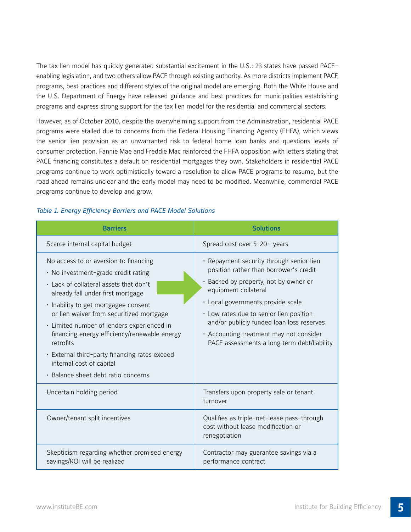The tax lien model has quickly generated substantial excitement in the U.S.: 23 states have passed PACEenabling legislation, and two others allow PACE through existing authority. As more districts implement PACE programs, best practices and different styles of the original model are emerging. Both the White House and the U.S. Department of Energy have released guidance and best practices for municipalities establishing programs and express strong support for the tax lien model for the residential and commercial sectors.

However, as of October 2010, despite the overwhelming support from the Administration, residential PACE programs were stalled due to concerns from the Federal Housing Financing Agency (FHFA), which views the senior lien provision as an unwarranted risk to federal home loan banks and questions levels of consumer protection. Fannie Mae and Freddie Mac reinforced the FHFA opposition with letters stating that PACE financing constitutes a default on residential mortgages they own. Stakeholders in residential PACE programs continue to work optimistically toward a resolution to allow PACE programs to resume, but the road ahead remains unclear and the early model may need to be modified. Meanwhile, commercial PACE programs continue to develop and grow.

| <b>Barriers</b>                                                                                                                                                                                                                                                                                                                                                                                                                                                                | <b>Solutions</b>                                                                                                                                                                                                                                                                                                                                                           |
|--------------------------------------------------------------------------------------------------------------------------------------------------------------------------------------------------------------------------------------------------------------------------------------------------------------------------------------------------------------------------------------------------------------------------------------------------------------------------------|----------------------------------------------------------------------------------------------------------------------------------------------------------------------------------------------------------------------------------------------------------------------------------------------------------------------------------------------------------------------------|
| Scarce internal capital budget                                                                                                                                                                                                                                                                                                                                                                                                                                                 | Spread cost over 5-20+ years                                                                                                                                                                                                                                                                                                                                               |
| No access to or aversion to financing<br>• No investment-grade credit rating<br>· Lack of collateral assets that don't<br>already fall under first mortgage<br>· Inability to get mortgagee consent<br>or lien waiver from securitized mortgage<br>· Limited number of lenders experienced in<br>financing energy efficiency/renewable energy<br>retrofits<br>· External third-party financing rates exceed<br>internal cost of capital<br>· Balance sheet debt ratio concerns | · Repayment security through senior lien<br>position rather than borrower's credit<br>· Backed by property, not by owner or<br>equipment collateral<br>· Local governments provide scale<br>· Low rates due to senior lien position<br>and/or publicly funded loan loss reserves<br>• Accounting treatment may not consider<br>PACE assessments a long term debt/liability |
| Uncertain holding period                                                                                                                                                                                                                                                                                                                                                                                                                                                       | Transfers upon property sale or tenant<br>turnover                                                                                                                                                                                                                                                                                                                         |
| Owner/tenant split incentives                                                                                                                                                                                                                                                                                                                                                                                                                                                  | Qualifies as triple-net-lease pass-through<br>cost without lease modification or<br>renegotiation                                                                                                                                                                                                                                                                          |
| Skepticism regarding whether promised energy<br>savings/ROI will be realized                                                                                                                                                                                                                                                                                                                                                                                                   | Contractor may guarantee savings via a<br>performance contract                                                                                                                                                                                                                                                                                                             |

#### *Table 1. Energy Efficiency Barriers and PACE Model Solutions*

**5**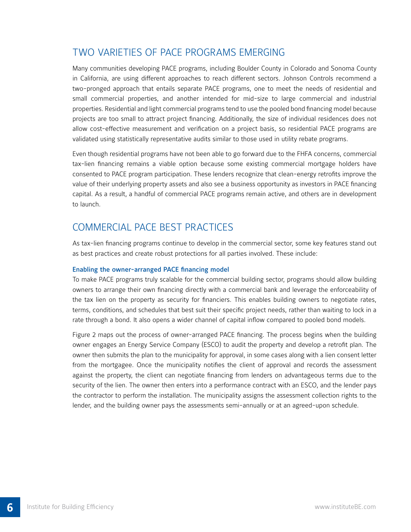## Two Varieties of PACE Programs Emerging

Many communities developing PACE programs, including Boulder County in Colorado and Sonoma County in California, are using different approaches to reach different sectors. Johnson Controls recommend a two-pronged approach that entails separate PACE programs, one to meet the needs of residential and small commercial properties, and another intended for mid-size to large commercial and industrial properties. Residential and light commercial programs tend to use the pooled bond financing model because projects are too small to attract project financing. Additionally, the size of individual residences does not allow cost-effective measurement and verification on a project basis, so residential PACE programs are validated using statistically representative audits similar to those used in utility rebate programs.

Even though residential programs have not been able to go forward due to the FHFA concerns, commercial tax-lien financing remains a viable option because some existing commercial mortgage holders have consented to PACE program participation. These lenders recognize that clean-energy retrofits improve the value of their underlying property assets and also see a business opportunity as investors in PACE financing capital. As a result, a handful of commercial PACE programs remain active, and others are in development to launch.

### Commercial PACE Best Practices

As tax-lien financing programs continue to develop in the commercial sector, some key features stand out as best practices and create robust protections for all parties involved. These include:

#### Enabling the owner-arranged PACE financing model

To make PACE programs truly scalable for the commercial building sector, programs should allow building owners to arrange their own financing directly with a commercial bank and leverage the enforceability of the tax lien on the property as security for financiers. This enables building owners to negotiate rates, terms, conditions, and schedules that best suit their specific project needs, rather than waiting to lock in a rate through a bond. It also opens a wider channel of capital inflow compared to pooled bond models.

Figure 2 maps out the process of owner-arranged PACE financing. The process begins when the building owner engages an Energy Service Company (ESCO) to audit the property and develop a retrofit plan. The owner then submits the plan to the municipality for approval, in some cases along with a lien consent letter from the mortgagee. Once the municipality notifies the client of approval and records the assessment against the property, the client can negotiate financing from lenders on advantageous terms due to the security of the lien. The owner then enters into a performance contract with an ESCO, and the lender pays the contractor to perform the installation. The municipality assigns the assessment collection rights to the lender, and the building owner pays the assessments semi-annually or at an agreed-upon schedule.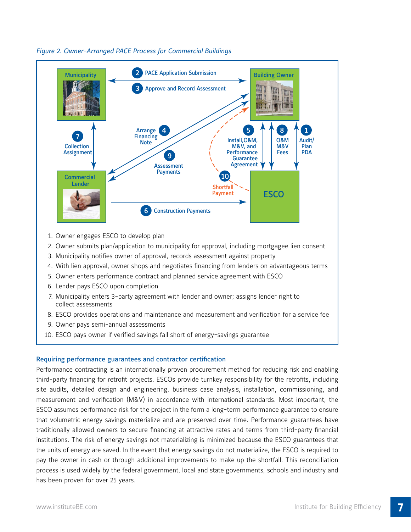

*Figure 2. Owner-Arranged PACE Process for Commercial Buildings*

- 1. Owner engages ESCO to develop plan
- 2. Owner submits plan/application to municipality for approval, including mortgagee lien consent
- 3. Municipality notifies owner of approval, records assessment against property
- 4. With lien approval, owner shops and negotiates financing from lenders on advantageous terms
- 5. Owner enters performance contract and planned service agreement with ESCO
- 6. Lender pays ESCO upon completion
- 7. Municipality enters 3-party agreement with lender and owner; assigns lender right to collect assessments
- 8. ESCO provides operations and maintenance and measurement and verification for a service fee
- 9. Owner pays semi-annual assessments
- 10. ESCO pays owner if verified savings fall short of energy-savings guarantee

#### Requiring performance guarantees and contractor certification

Performance contracting is an internationally proven procurement method for reducing risk and enabling third-party financing for retrofit projects. ESCOs provide turnkey responsibility for the retrofits, including site audits, detailed design and engineering, business case analysis, installation, commissioning, and measurement and verification (M&V) in accordance with international standards. Most important, the ESCO assumes performance risk for the project in the form a long-term performance guarantee to ensure that volumetric energy savings materialize and are preserved over time. Performance guarantees have traditionally allowed owners to secure financing at attractive rates and terms from third-party financial institutions. The risk of energy savings not materializing is minimized because the ESCO guarantees that the units of energy are saved. In the event that energy savings do not materialize, the ESCO is required to pay the owner in cash or through additional improvements to make up the shortfall. This reconciliation process is used widely by the federal government, local and state governments, schools and industry and has been proven for over 25 years.

**7**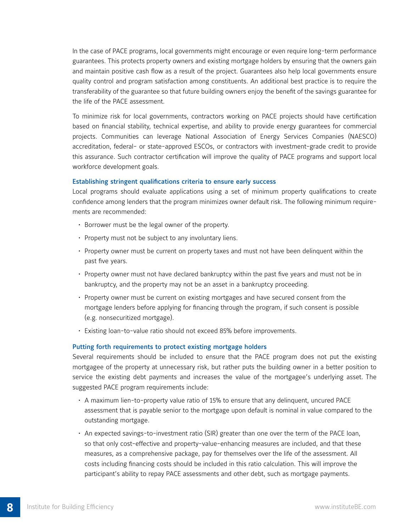In the case of PACE programs, local governments might encourage or even require long-term performance guarantees. This protects property owners and existing mortgage holders by ensuring that the owners gain and maintain positive cash flow as a result of the project. Guarantees also help local governments ensure quality control and program satisfaction among constituents. An additional best practice is to require the transferability of the guarantee so that future building owners enjoy the benefit of the savings guarantee for the life of the PACE assessment.

To minimize risk for local governments, contractors working on PACE projects should have certification based on financial stability, technical expertise, and ability to provide energy guarantees for commercial projects. Communities can leverage National Association of Energy Services Companies (NAESCO) accreditation, federal- or state-approved ESCOs, or contractors with investment-grade credit to provide this assurance. Such contractor certification will improve the quality of PACE programs and support local workforce development goals.

#### Establishing stringent qualifications criteria to ensure early success

Local programs should evaluate applications using a set of minimum property qualifications to create confidence among lenders that the program minimizes owner default risk. The following minimum requirements are recommended:

- Borrower must be the legal owner of the property.
- Property must not be subject to any involuntary liens.
- Property owner must be current on property taxes and must not have been delinquent within the past five years.
- Property owner must not have declared bankruptcy within the past five years and must not be in bankruptcy, and the property may not be an asset in a bankruptcy proceeding.
- Property owner must be current on existing mortgages and have secured consent from the mortgage lenders before applying for financing through the program, if such consent is possible (e.g. nonsecuritized mortgage).
- Existing loan-to-value ratio should not exceed 85% before improvements.

#### Putting forth requirements to protect existing mortgage holders

Several requirements should be included to ensure that the PACE program does not put the existing mortgagee of the property at unnecessary risk, but rather puts the building owner in a better position to service the existing debt payments and increases the value of the mortgagee's underlying asset. The suggested PACE program requirements include:

- A maximum lien-to-property value ratio of 15% to ensure that any delinquent, uncured PACE assessment that is payable senior to the mortgage upon default is nominal in value compared to the outstanding mortgage.
- An expected savings-to-investment ratio (SIR) greater than one over the term of the PACE loan, so that only cost-effective and property-value-enhancing measures are included, and that these measures, as a comprehensive package, pay for themselves over the life of the assessment. All costs including financing costs should be included in this ratio calculation. This will improve the participant's ability to repay PACE assessments and other debt, such as mortgage payments.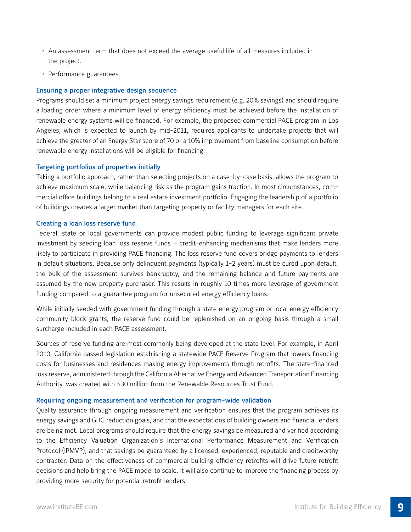- An assessment term that does not exceed the average useful life of all measures included in the project.
- Performance guarantees.

#### Ensuring a proper integrative design sequence

Programs should set a minimum project energy savings requirement (e.g. 20% savings) and should require a loading order where a minimum level of energy efficiency must be achieved before the installation of renewable energy systems will be financed. For example, the proposed commercial PACE program in Los Angeles, which is expected to launch by mid-2011, requires applicants to undertake projects that will achieve the greater of an Energy Star score of 70 or a 10% improvement from baseline consumption before renewable energy installations will be eligible for financing.

#### Targeting portfolios of properties initially

Taking a portfolio approach, rather than selecting projects on a case-by-case basis, allows the program to achieve maximum scale, while balancing risk as the program gains traction. In most circumstances, commercial office buildings belong to a real estate investment portfolio. Engaging the leadership of a portfolio of buildings creates a larger market than targeting property or facility managers for each site.

#### Creating a loan loss reserve fund

Federal, state or local governments can provide modest public funding to leverage significant private investment by seeding loan loss reserve funds – credit-enhancing mechanisms that make lenders more likely to participate in providing PACE financing. The loss reserve fund covers bridge payments to lenders in default situations. Because only delinquent payments (typically 1-2 years) must be cured upon default, the bulk of the assessment survives bankruptcy, and the remaining balance and future payments are assumed by the new property purchaser. This results in roughly 10 times more leverage of government funding compared to a guarantee program for unsecured energy efficiency loans.

While initially seeded with government funding through a state energy program or local energy efficiency community block grants, the reserve fund could be replenished on an ongoing basis through a small surcharge included in each PACE assessment.

Sources of reserve funding are most commonly being developed at the state level. For example, in April 2010, California passed legislation establishing a statewide PACE Reserve Program that lowers financing costs for businesses and residences making energy improvements through retrofits. The state-financed loss reserve, administered through the California Alternative Energy and Advanced Transportation Financing Authority, was created with \$30 million from the Renewable Resources Trust Fund.

#### Requiring ongoing measurement and verification for program-wide validation

Quality assurance through ongoing measurement and verification ensures that the program achieves its energy savings and GHG reduction goals, and that the expectations of building owners and financial lenders are being met. Local programs should require that the energy savings be measured and verified according to the Efficiency Valuation Organization's International Performance Measurement and Verification Protocol (IPMVP), and that savings be guaranteed by a licensed, experienced, reputable and creditworthy contractor. Data on the effectiveness of commercial building efficiency retrofits will drive future retrofit decisions and help bring the PACE model to scale. It will also continue to improve the financing process by providing more security for potential retrofit lenders.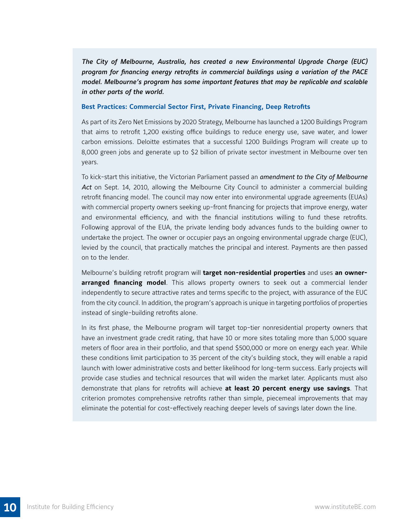*The City of Melbourne, Australia, has created a new Environmental Upgrade Charge (EUC) program for financing energy retrofits in commercial buildings using a variation of the PACE model. Melbourne's program has some important features that may be replicable and scalable in other parts of the world.*

#### **Best Practices: Commercial Sector First, Private Financing, Deep Retrofits**

As part of its Zero Net Emissions by 2020 Strategy, Melbourne has launched a 1200 Buildings Program that aims to retrofit 1,200 existing office buildings to reduce energy use, save water, and lower carbon emissions. Deloitte estimates that a successful 1200 Buildings Program will create up to 8,000 green jobs and generate up to \$2 billion of private sector investment in Melbourne over ten years.

To kick-start this initiative, the Victorian Parliament passed an *amendment to the City of Melbourne*  Act on Sept. 14, 2010, allowing the Melbourne City Council to administer a commercial building retrofit financing model. The council may now enter into environmental upgrade agreements (EUAs) with commercial property owners seeking up-front financing for projects that improve energy, water and environmental efficiency, and with the financial institutions willing to fund these retrofits. Following approval of the EUA, the private lending body advances funds to the building owner to undertake the project. The owner or occupier pays an ongoing environmental upgrade charge (EUC), levied by the council, that practically matches the principal and interest. Payments are then passed on to the lender.

Melbourne's building retrofit program will **target non-residential properties** and uses **an ownerarranged financing model**. This allows property owners to seek out a commercial lender independently to secure attractive rates and terms specific to the project, with assurance of the EUC from the city council. In addition, the program's approach is unique in targeting portfolios of properties instead of single-building retrofits alone.

In its first phase, the Melbourne program will target top-tier nonresidential property owners that have an investment grade credit rating, that have 10 or more sites totaling more than 5,000 square meters of floor area in their portfolio, and that spend \$500,000 or more on energy each year. While these conditions limit participation to 35 percent of the city's building stock, they will enable a rapid launch with lower administrative costs and better likelihood for long-term success. Early projects will provide case studies and technical resources that will widen the market later. Applicants must also demonstrate that plans for retrofits will achieve **at least 20 percent energy use savings**. That criterion promotes comprehensive retrofits rather than simple, piecemeal improvements that may eliminate the potential for cost-effectively reaching deeper levels of savings later down the line.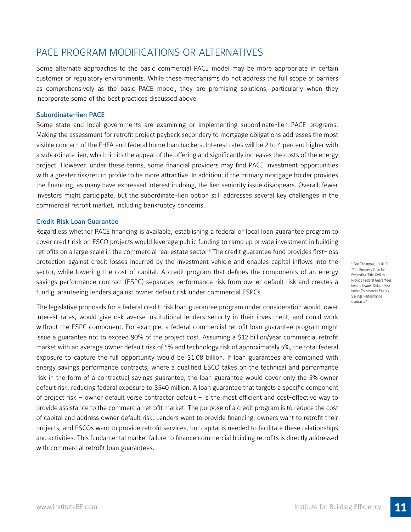## PACE Program Modifications or Alternatives

Some alternate approaches to the basic commercial PACE model may be more appropriate in certain customer or regulatory environments. While these mechanisms do not address the full scope of barriers as comprehensively as the basic PACE model, they are promising solutions, particularly when they incorporate some of the best practices discussed above.

#### Subordinate-lien PACE

Some state and local governments are examining or implementing subordinate-lien PACE programs. Making the assessment for retrofit project payback secondary to mortgage obligations addresses the most visible concern of the FHFA and federal home loan backers. Interest rates will be 2 to 4 percent higher with a subordinate lien, which limits the appeal of the offering and significantly increases the costs of the energy project. However, under these terms, some financial providers may find PACE investment opportunities with a greater risk/return profile to be more attractive. In addition, if the primary mortgage holder provides the financing, as many have expressed interest in doing, the lien seniority issue disappears. Overall, fewer investors might participate, but the subordinate-lien option still addresses several key challenges in the commercial retrofit market, including bankruptcy concerns.

#### Credit Risk Loan Guarantee

Regardless whether PACE financing is available, establishing a federal or local loan guarantee program to cover credit risk on ESCO projects would leverage public funding to ramp up private investment in building retrofits on a large scale in the commercial real estate sector.<sup>5</sup> The credit guarantee fund provides first-loss protection against credit losses incurred by the investment vehicle and enables capital inflows into the sector, while lowering the cost of capital. A credit program that defines the components of an energy savings performance contract (ESPC) separates performance risk from owner default risk and creates a fund guaranteeing lenders against owner default risk under commercial ESPCs.

The legislative proposals for a federal credit-risk loan guarantee program under consideration would lower interest rates, would give risk-averse institutional lenders security in their investment, and could work without the ESPC component. For example, a federal commercial retrofit loan guarantee program might issue a guarantee not to exceed 90% of the project cost. Assuming a \$12 billion/year commercial retrofit market with an average owner default risk of 5% and technology risk of approximately 5%, the total federal exposure to capture the full opportunity would be \$1.08 billion. If loan guarantees are combined with energy savings performance contracts, where a qualified ESCO takes on the technical and performance risk in the form of a contractual savings guarantee, the loan guarantee would cover only the 5% owner default risk, reducing federal exposure to \$540 million. A loan guarantee that targets a specific component of project risk – owner default verse contractor default – is the most efficient and cost-effective way to provide assistance to the commercial retrofit market. The purpose of a credit program is to reduce the cost of capital and address owner default risk. Lenders want to provide financing, owners want to retrofit their projects, and ESCOs want to provide retrofit services, but capital is needed to facilitate these relationships and activities. This fundamental market failure to finance commercial building retrofits is directly addressed with commercial retrofit loan guarantees.

<sup>5</sup> See Christmas, J. (2010) "The Business Case for Expanding Title XVII to Provide Federal Guarantees behind Owner Default Risk under Commercial Energy Savings Performance Contracts.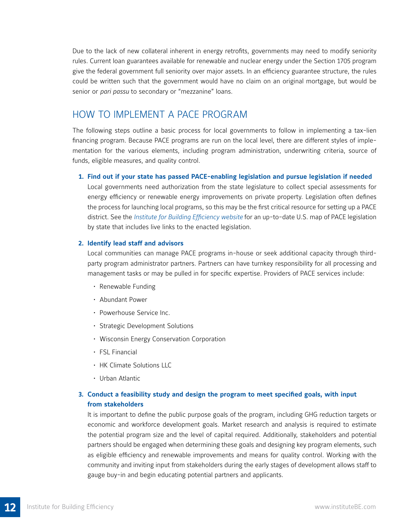Due to the lack of new collateral inherent in energy retrofits, governments may need to modify seniority rules. Current loan guarantees available for renewable and nuclear energy under the Section 1705 program give the federal government full seniority over major assets. In an efficiency guarantee structure, the rules could be written such that the government would have no claim on an original mortgage, but would be senior or *pari passu* to secondary or "mezzanine" loans.

## How to Implement a PACE Program

The following steps outline a basic process for local governments to follow in implementing a tax-lien financing program. Because PACE programs are run on the local level, there are different styles of implementation for the various elements, including program administration, underwriting criteria, source of funds, eligible measures, and quality control.

#### **1. Find out if your state has passed PACE-enabling legislation and pursue legislation if needed**

 Local governments need authorization from the state legislature to collect special assessments for energy efficiency or renewable energy improvements on private property. Legislation often defines the process for launching local programs, so this may be the first critical resource for setting up a PACE district. See the *Institute for Building Efficiency website* for an up-to-date U.S. map of PACE legislation by state that includes live links to the enacted legislation.

#### **2. Identify lead staff and advisors**

 Local communities can manage PACE programs in-house or seek additional capacity through thirdparty program administrator partners. Partners can have turnkey responsibility for all processing and management tasks or may be pulled in for specific expertise. Providers of PACE services include:

- Renewable Funding
- Abundant Power
- Powerhouse Service Inc.
- Strategic Development Solutions
- Wisconsin Energy Conservation Corporation
- FSL Financial
- HK Climate Solutions LLC
- Urban Atlantic

### **3. Conduct a feasibility study and design the program to meet specified goals, with input from stakeholders**

 It is important to define the public purpose goals of the program, including GHG reduction targets or economic and workforce development goals. Market research and analysis is required to estimate the potential program size and the level of capital required. Additionally, stakeholders and potential partners should be engaged when determining these goals and designing key program elements, such as eligible efficiency and renewable improvements and means for quality control. Working with the community and inviting input from stakeholders during the early stages of development allows staff to gauge buy-in and begin educating potential partners and applicants.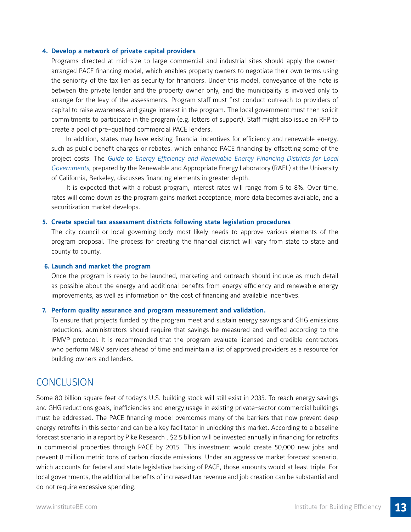#### **4. Develop a network of private capital providers**

Programs directed at mid-size to large commercial and industrial sites should apply the ownerarranged PACE financing model, which enables property owners to negotiate their own terms using the seniority of the tax lien as security for financiers. Under this model, conveyance of the note is between the private lender and the property owner only, and the municipality is involved only to arrange for the levy of the assessments. Program staff must first conduct outreach to providers of capital to raise awareness and gauge interest in the program. The local government must then solicit commitments to participate in the program (e.g. letters of support). Staff might also issue an RFP to create a pool of pre-qualified commercial PACE lenders.

 In addition, states may have existing financial incentives for efficiency and renewable energy, such as public benefit charges or rebates, which enhance PACE financing by offsetting some of the project costs. The *Guide to Energy Efficiency and Renewable Energy Financing Districts for Local Governments,* prepared by the Renewable and Appropriate Energy Laboratory (RAEL) at the University of California, Berkeley, discusses financing elements in greater depth.

It is expected that with a robust program, interest rates will range from 5 to 8%. Over time, rates will come down as the program gains market acceptance, more data becomes available, and a securitization market develops.

#### **5. Create special tax assessment districts following state legislation procedures**

 The city council or local governing body most likely needs to approve various elements of the program proposal. The process for creating the financial district will vary from state to state and county to county.

#### **6. Launch and market the program**

 Once the program is ready to be launched, marketing and outreach should include as much detail as possible about the energy and additional benefits from energy efficiency and renewable energy improvements, as well as information on the cost of financing and available incentives.

#### **7. Perform quality assurance and program measurement and validation.**

 To ensure that projects funded by the program meet and sustain energy savings and GHG emissions reductions, administrators should require that savings be measured and verified according to the IPMVP protocol. It is recommended that the program evaluate licensed and credible contractors who perform M&V services ahead of time and maintain a list of approved providers as a resource for building owners and lenders.

### **CONCLUSION**

Some 80 billion square feet of today's U.S. building stock will still exist in 2035. To reach energy savings and GHG reductions goals, inefficiencies and energy usage in existing private-sector commercial buildings must be addressed. The PACE financing model overcomes many of the barriers that now prevent deep energy retrofits in this sector and can be a key facilitator in unlocking this market. According to a baseline forecast scenario in a report by Pike Research , \$2.5 billion will be invested annually in financing for retrofits in commercial properties through PACE by 2015. This investment would create 50,000 new jobs and prevent 8 million metric tons of carbon dioxide emissions. Under an aggressive market forecast scenario, which accounts for federal and state legislative backing of PACE, those amounts would at least triple. For local governments, the additional benefits of increased tax revenue and job creation can be substantial and do not require excessive spending.